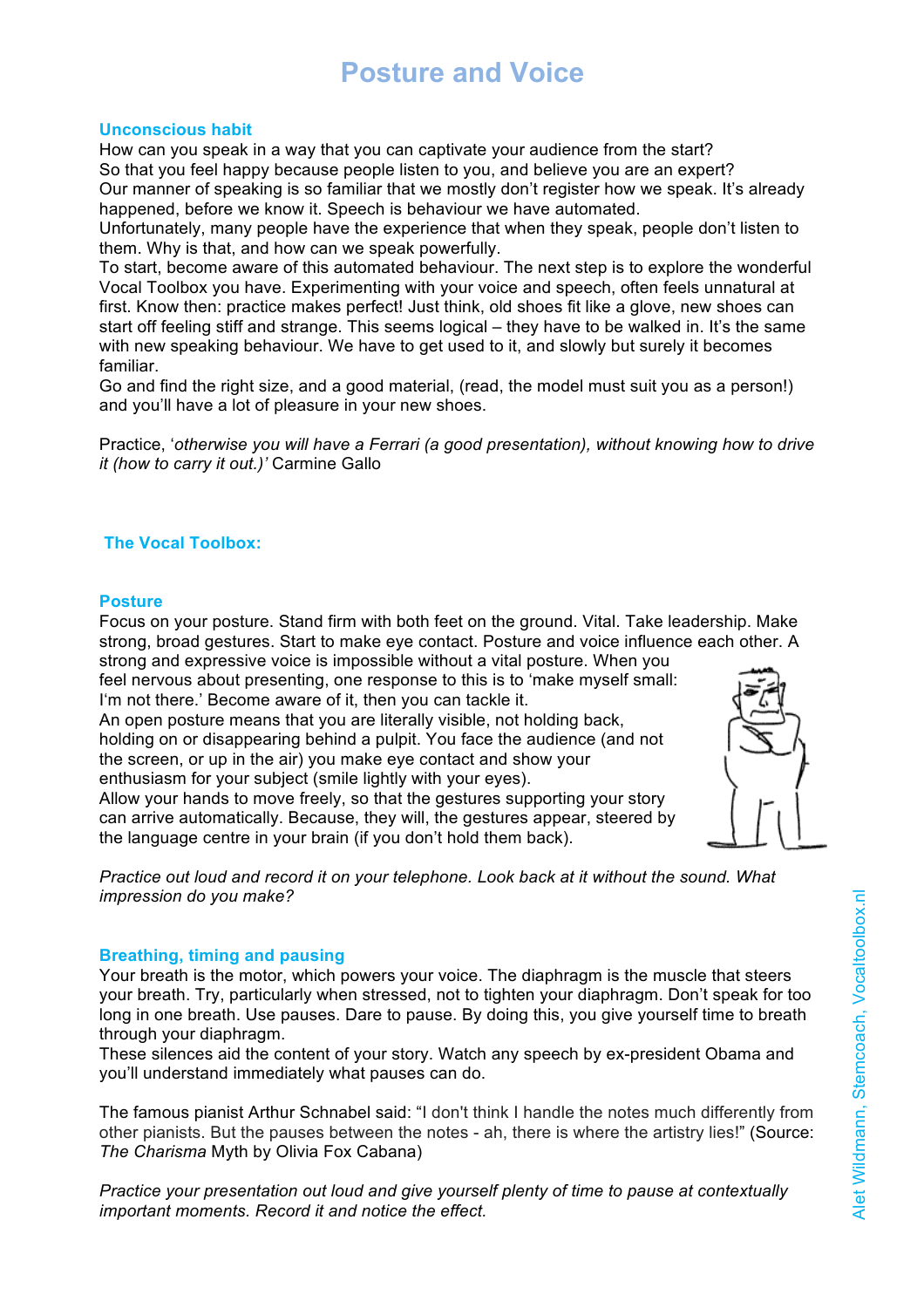## **Unconscious habit**

How can you speak in a way that you can captivate your audience from the start? So that you feel happy because people listen to you, and believe you are an expert? Our manner of speaking is so familiar that we mostly don't register how we speak. It's already happened, before we know it. Speech is behaviour we have automated.

Unfortunately, many people have the experience that when they speak, people don't listen to them. Why is that, and how can we speak powerfully.

To start, become aware of this automated behaviour. The next step is to explore the wonderful Vocal Toolbox you have. Experimenting with your voice and speech, often feels unnatural at first. Know then: practice makes perfect! Just think, old shoes fit like a glove, new shoes can start off feeling stiff and strange. This seems logical – they have to be walked in. It's the same with new speaking behaviour. We have to get used to it, and slowly but surely it becomes familiar.

Go and find the right size, and a good material, (read, the model must suit you as a person!) and you'll have a lot of pleasure in your new shoes.

Practice, '*otherwise you will have a Ferrari (a good presentation), without knowing how to drive it (how to carry it out.)'* Carmine Gallo

# **The Vocal Toolbox:**

### **Posture**

Focus on your posture. Stand firm with both feet on the ground. Vital. Take leadership. Make strong, broad gestures. Start to make eye contact. Posture and voice influence each other. A strong and expressive voice is impossible without a vital posture. When you

feel nervous about presenting, one response to this is to 'make myself small: I'm not there.' Become aware of it, then you can tackle it.

An open posture means that you are literally visible, not holding back, holding on or disappearing behind a pulpit. You face the audience (and not the screen, or up in the air) you make eye contact and show your enthusiasm for your subject (smile lightly with your eyes).

Allow your hands to move freely, so that the gestures supporting your story can arrive automatically. Because, they will, the gestures appear, steered by the language centre in your brain (if you don't hold them back).



## **Breathing, timing and pausing**

Your breath is the motor, which powers your voice. The diaphragm is the muscle that steers your breath. Try, particularly when stressed, not to tighten your diaphragm. Don't speak for too long in one breath. Use pauses. Dare to pause. By doing this, you give yourself time to breath through your diaphragm.

These silences aid the content of your story. Watch any speech by ex-president Obama and you'll understand immediately what pauses can do.

The famous pianist Arthur Schnabel said: "I don't think I handle the notes much differently from other pianists. But the pauses between the notes - ah, there is where the artistry lies!" (Source: *The Charisma* Myth by Olivia Fox Cabana)

*Practice your presentation out loud and give yourself plenty of time to pause at contextually important moments. Record it and notice the effect.*

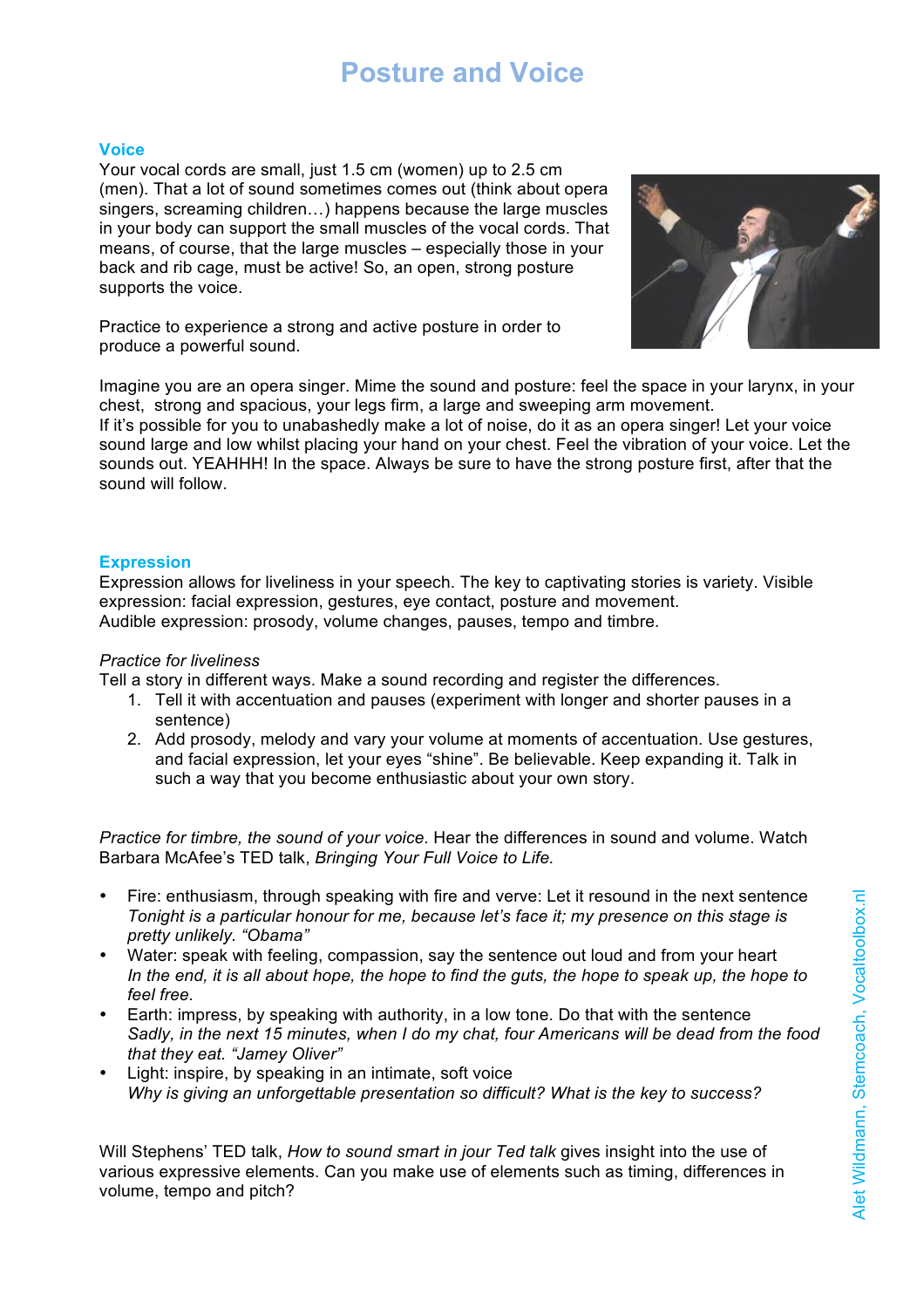#### **Voice**

Your vocal cords are small, just 1.5 cm (women) up to 2.5 cm (men). That a lot of sound sometimes comes out (think about opera singers, screaming children…) happens because the large muscles in your body can support the small muscles of the vocal cords. That means, of course, that the large muscles – especially those in your back and rib cage, must be active! So, an open, strong posture supports the voice.



Practice to experience a strong and active posture in order to produce a powerful sound.

Imagine you are an opera singer. Mime the sound and posture: feel the space in your larynx, in your chest, strong and spacious, your legs firm, a large and sweeping arm movement. If it's possible for you to unabashedly make a lot of noise, do it as an opera singer! Let your voice sound large and low whilst placing your hand on your chest. Feel the vibration of your voice. Let the sounds out. YEAHHH! In the space. Always be sure to have the strong posture first, after that the

# **Expression**

sound will follow.

Expression allows for liveliness in your speech. The key to captivating stories is variety. Visible expression: facial expression, gestures, eye contact, posture and movement. Audible expression: prosody, volume changes, pauses, tempo and timbre.

## *Practice for liveliness*

Tell a story in different ways. Make a sound recording and register the differences.

- 1. Tell it with accentuation and pauses (experiment with longer and shorter pauses in a sentence)
- 2. Add prosody, melody and vary your volume at moments of accentuation. Use gestures, and facial expression, let your eyes "shine". Be believable. Keep expanding it. Talk in such a way that you become enthusiastic about your own story.

*Practice for timbre, the sound of your voice*. Hear the differences in sound and volume. Watch Barbara McAfee's TED talk, *Bringing Your Full Voice to Life.*

- Fire: enthusiasm, through speaking with fire and verve: Let it resound in the next sentence *Tonight is a particular honour for me, because let's face it; my presence on this stage is pretty unlikely. "Obama"*
- Water: speak with feeling, compassion, say the sentence out loud and from your heart *In the end, it is all about hope, the hope to find the guts, the hope to speak up, the hope to feel free.*
- Earth: impress, by speaking with authority, in a low tone. Do that with the sentence *Sadly, in the next 15 minutes, when I do my chat, four Americans will be dead from the food that they eat. "Jamey Oliver"*
- Light: inspire, by speaking in an intimate, soft voice *Why is giving an unforgettable presentation so difficult? What is the key to success?*

Will Stephens' TED talk, *How to sound smart in jour Ted talk* gives insight into the use of various expressive elements. Can you make use of elements such as timing, differences in volume, tempo and pitch?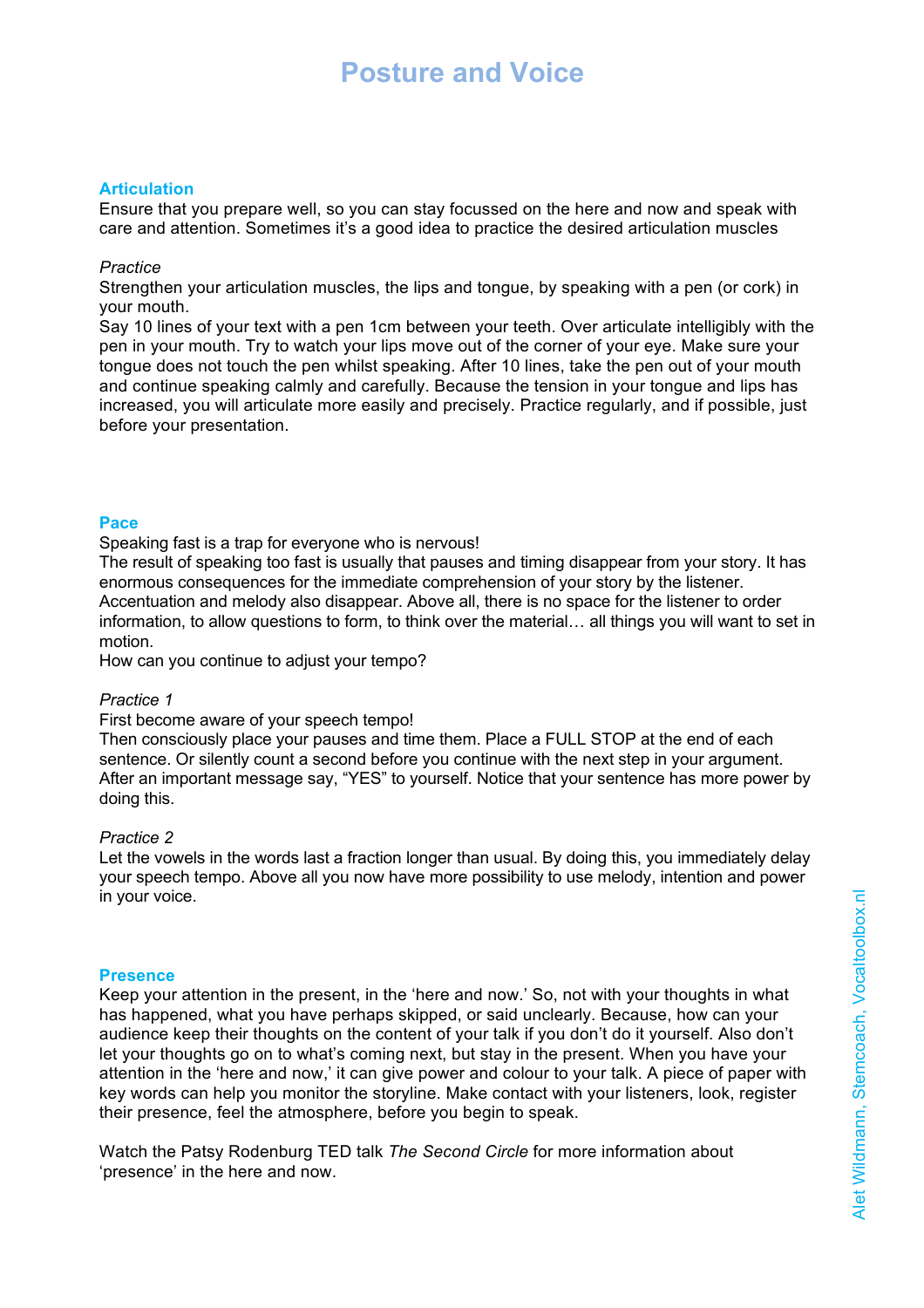# **Articulation**

Ensure that you prepare well, so you can stay focussed on the here and now and speak with care and attention. Sometimes it's a good idea to practice the desired articulation muscles

## *Practice*

Strengthen your articulation muscles, the lips and tongue, by speaking with a pen (or cork) in your mouth.

Say 10 lines of your text with a pen 1cm between your teeth. Over articulate intelligibly with the pen in your mouth. Try to watch your lips move out of the corner of your eye. Make sure your tongue does not touch the pen whilst speaking. After 10 lines, take the pen out of your mouth and continue speaking calmly and carefully. Because the tension in your tongue and lips has increased, you will articulate more easily and precisely. Practice regularly, and if possible, just before your presentation.

### **Pace**

Speaking fast is a trap for everyone who is nervous!

The result of speaking too fast is usually that pauses and timing disappear from your story. It has enormous consequences for the immediate comprehension of your story by the listener. Accentuation and melody also disappear. Above all, there is no space for the listener to order information, to allow questions to form, to think over the material… all things you will want to set in motion.

How can you continue to adjust your tempo?

## *Practice 1*

#### First become aware of your speech tempo!

Then consciously place your pauses and time them. Place a FULL STOP at the end of each sentence. Or silently count a second before you continue with the next step in your argument. After an important message say, "YES" to yourself. Notice that your sentence has more power by doing this.

## *Practice 2*

Let the vowels in the words last a fraction longer than usual. By doing this, you immediately delay your speech tempo. Above all you now have more possibility to use melody, intention and power in your voice.

#### **Presence**

Keep your attention in the present, in the 'here and now.' So, not with your thoughts in what has happened, what you have perhaps skipped, or said unclearly. Because, how can your audience keep their thoughts on the content of your talk if you don't do it yourself. Also don't let your thoughts go on to what's coming next, but stay in the present. When you have your attention in the 'here and now,' it can give power and colour to your talk. A piece of paper with key words can help you monitor the storyline. Make contact with your listeners, look, register their presence, feel the atmosphere, before you begin to speak.

Watch the Patsy Rodenburg TED talk *The Second Circle* for more information about 'presence' in the here and now.